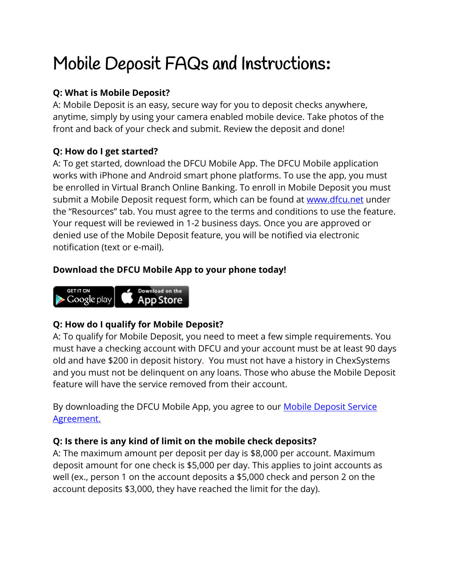# Mobile Deposit FAQs and Instructions**:**

## **Q: What is Mobile Deposit?**

A: Mobile Deposit is an easy, secure way for you to deposit checks anywhere, anytime, simply by using your camera enabled mobile device. Take photos of the front and back of your check and submit. Review the deposit and done!

## **Q: How do I get started?**

A: To get started, download the DFCU Mobile App. The DFCU Mobile application works with iPhone and Android smart phone platforms. To use the app, you must be enrolled in Virtual Branch Online Banking. To enroll in Mobile Deposit you must submit a Mobile Deposit request form, which can be found at [www.dfcu.net](http://www.dfcu.net/) under the "Resources" tab. You must agree to the terms and conditions to use the feature. Your request will be reviewed in 1-2 business days. Once you are approved or denied use of the Mobile Deposit feature, you will be notified via electronic notification (text or e-mail).

## **Download the DFCU Mobile App to your phone today!**



## **Q: How do I qualify for Mobile Deposit?**

A: To qualify for Mobile Deposit, you need to meet a few simple requirements. You must have a checking account with DFCU and your account must be at least 90 days old and have \$200 in deposit history. You must not have a history in ChexSystems and you must not be delinquent on any loans. Those who abuse the Mobile Deposit feature will have the service removed from their account.

By downloading the DFCU Mobile App, you agree to our **Mobile Deposit Service** [Agreement.](https://www.cu1.org/documents/CU1_Mobile__Deposit__Service__Agreement.pdf)

## **Q: Is there is any kind of limit on the mobile check deposits?**

A: The maximum amount per deposit per day is \$8,000 per account. Maximum deposit amount for one check is \$5,000 per day. This applies to joint accounts as well (ex., person 1 on the account deposits a \$5,000 check and person 2 on the account deposits \$3,000, they have reached the limit for the day).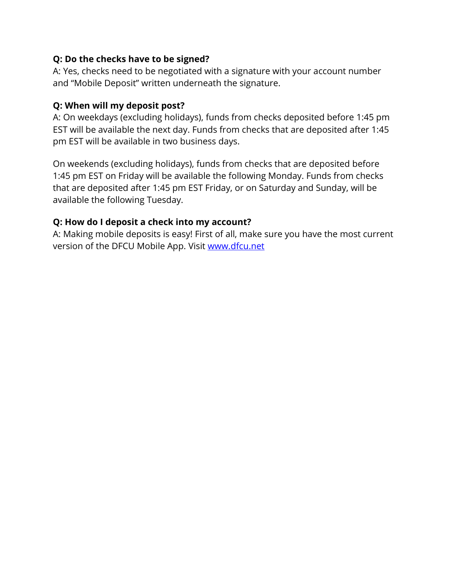#### **Q: Do the checks have to be signed?**

A: Yes, checks need to be negotiated with a signature with your account number and "Mobile Deposit" written underneath the signature.

#### **Q: When will my deposit post?**

A: On weekdays (excluding holidays), funds from checks deposited before 1:45 pm EST will be available the next day. Funds from checks that are deposited after 1:45 pm EST will be available in two business days.

On weekends (excluding holidays), funds from checks that are deposited before 1:45 pm EST on Friday will be available the following Monday. Funds from checks that are deposited after 1:45 pm EST Friday, or on Saturday and Sunday, will be available the following Tuesday.

#### **Q: How do I deposit a check into my account?**

A: Making mobile deposits is easy! First of all, make sure you have the most current version of the DFCU Mobile App. Visit [www.dfcu.net](http://www.dfcu.net/)